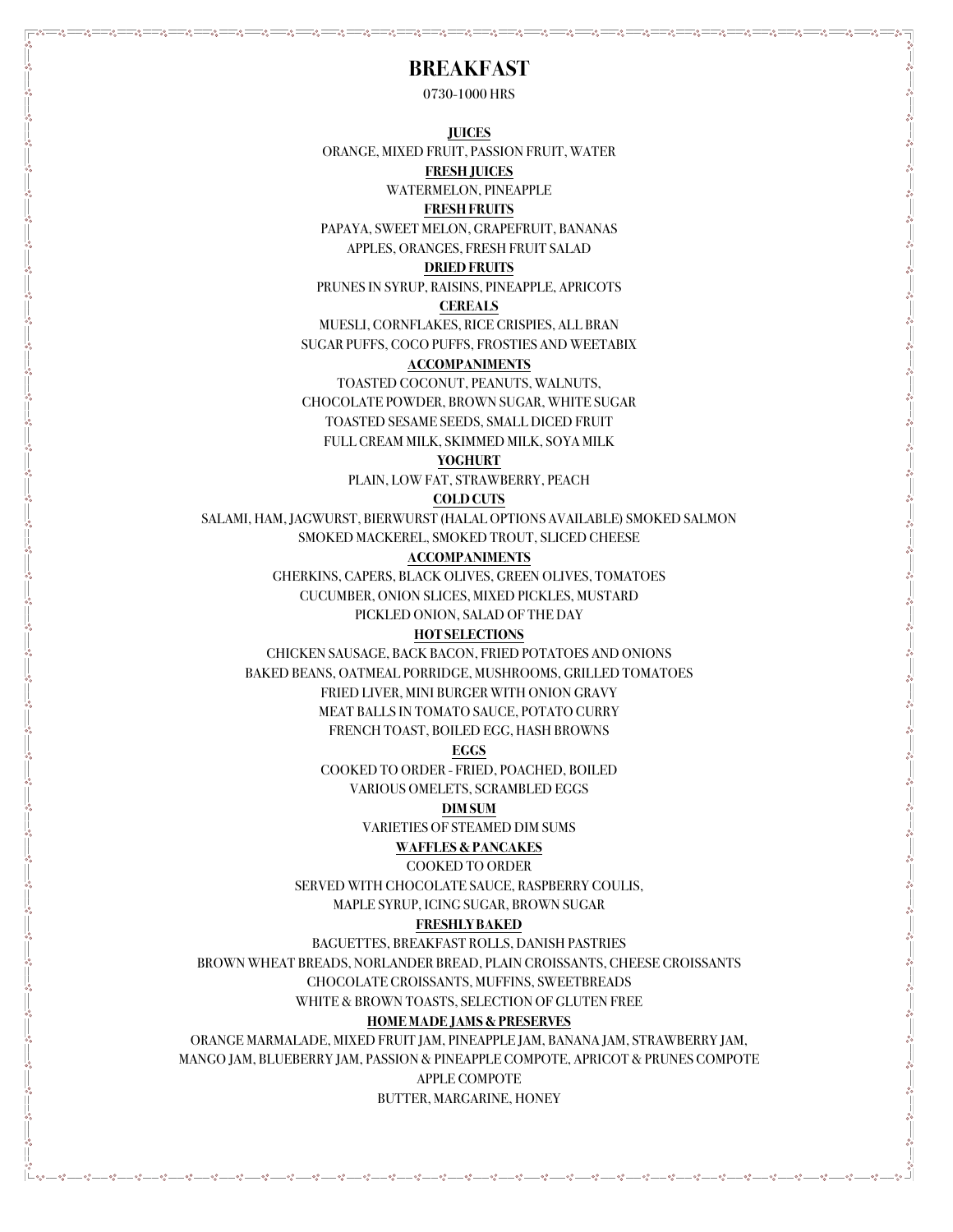# **BREAKFAST**

0730-1000 HRS

**JUICES**

ORANGE, MIXED FRUIT, PASSION FRUIT, WATER

**FRESH JUICES**

WATERMELON, PINEAPPLE

**FRESH FRUITS**

PAPAYA, SWEET MELON, GRAPEFRUIT, BANANAS APPLES, ORANGES, FRESH FRUIT SALAD

### **DRIED FRUITS**

PRUNES IN SYRUP, RAISINS, PINEAPPLE, APRICOTS

### **CEREALS**

MUESLI, CORNFLAKES, RICE CRISPIES, ALL BRAN SUGAR PUFFS, COCO PUFFS, FROSTIES AND WEETABIX

#### **ACCOMPANIMENTS**

TOASTED COCONUT, PEANUTS, WALNUTS, CHOCOLATE POWDER, BROWN SUGAR, WHITE SUGAR TOASTED SESAME SEEDS, SMALL DICED FRUIT FULL CREAM MILK, SKIMMED MILK, SOYA MILK

### **YOGHURT**

PLAIN, LOW FAT, STRAWBERRY, PEACH

### **COLD CUTS**

SALAMI, HAM, JAGWURST, BIERWURST (HALAL OPTIONS AVAILABLE) SMOKED SALMON SMOKED MACKEREL, SMOKED TROUT, SLICED CHEESE

### **ACCOMPANIMENTS**

GHERKINS, CAPERS, BLACK OLIVES, GREEN OLIVES, TOMATOES

CUCUMBER, ONION SLICES, MIXED PICKLES, MUSTARD

PICKLED ONION, SALAD OF THE DAY

# **HOT SELECTIONS**

CHICKEN SAUSAGE, BACK BACON, FRIED POTATOES AND ONIONS BAKED BEANS, OATMEAL PORRIDGE, MUSHROOMS, GRILLED TOMATOES FRIED LIVER, MINI BURGER WITH ONION GRAVY MEAT BALLS IN TOMATO SAUCE, POTATO CURRY FRENCH TOAST, BOILED EGG, HASH BROWNS

**EGGS**

COOKED TO ORDER - FRIED, POACHED, BOILED

VARIOUS OMELETS, SCRAMBLED EGGS

# **DIM SUM**

VARIETIES OF STEAMED DIM SUMS

# **WAFFLES & PANCAKES**

COOKED TO ORDER

SERVED WITH CHOCOLATE SAUCE, RASPBERRY COULIS,

MAPLE SYRUP, ICING SUGAR, BROWN SUGAR

# **FRESHLY BAKED**

BAGUETTES, BREAKFAST ROLLS, DANISH PASTRIES

BROWN WHEAT BREADS, NORLANDER BREAD, PLAIN CROISSANTS, CHEESE CROISSANTS

CHOCOLATE CROISSANTS, MUFFINS, SWEETBREADS

WHITE & BROWN TOASTS, SELECTION OF GLUTEN FREE

# **HOME MADE JAMS & PRESERVES**

ORANGE MARMALADE, MIXED FRUIT JAM, PINEAPPLE JAM, BANANA JAM, STRAWBERRY JAM, MANGO JAM, BLUEBERRY JAM, PASSION & PINEAPPLE COMPOTE, APRICOT & PRUNES COMPOTE APPLE COMPOTE

BUTTER, MARGARINE, HONEY

<u> - ೲೢೢೢೢೲೢೢೢೲೢೢೢೲ಄ೲ಄ೲ಄ೲ಄ೲ಄</u>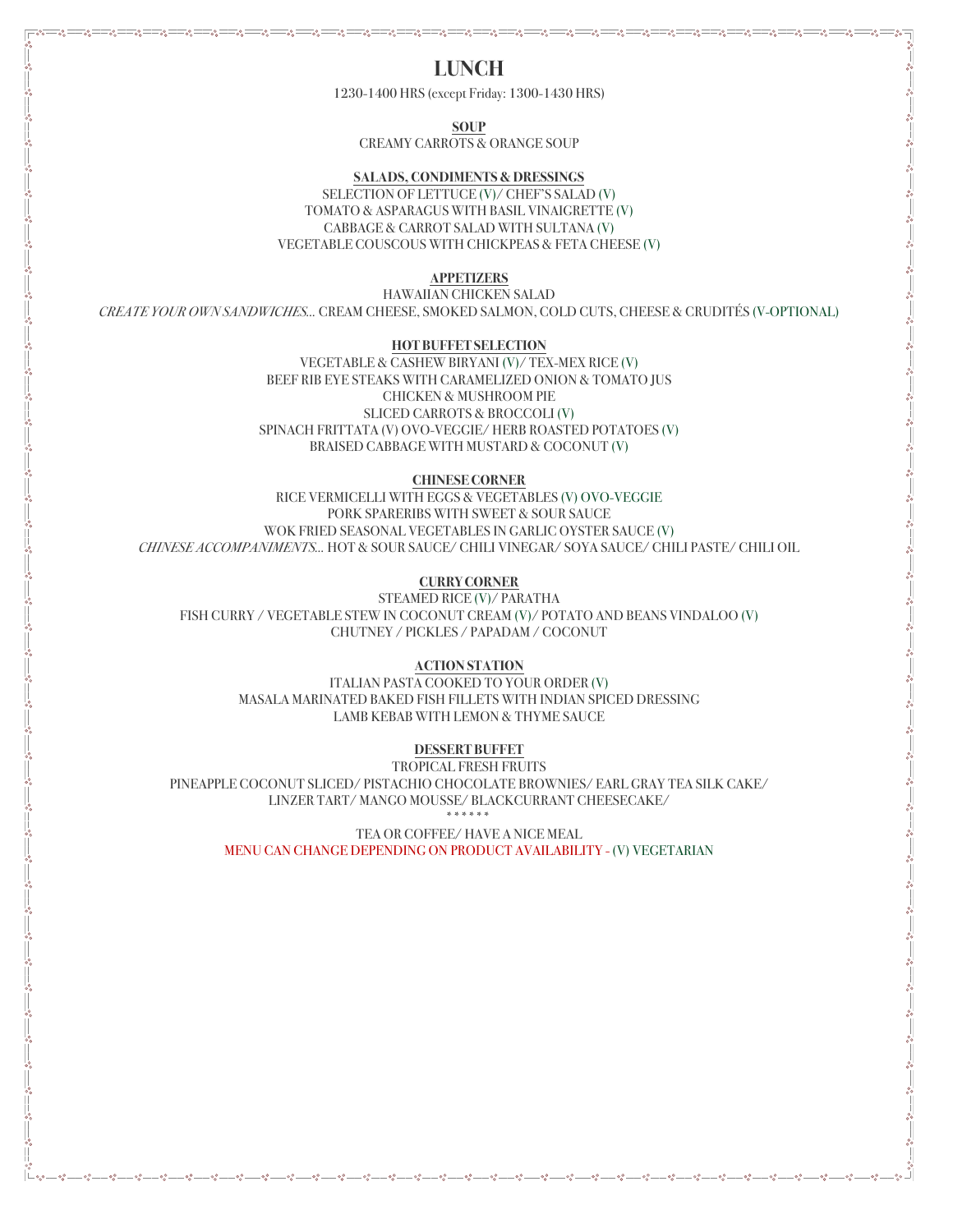**LUNCH**

1230-1400 HRS (except Friday: 1300-1430 HRS)

**SOUP**

CREAMY CARROTS & ORANGE SOUP

# **SALADS, CONDIMENTS & DRESSINGS**

SELECTION OF LETTUCE (V)/ CHEF'S SALAD (V) TOMATO & ASPARAGUS WITH BASIL VINAIGRETTE (V) CABBAGE & CARROT SALAD WITH SULTANA (V) VEGETABLE COUSCOUS WITH CHICKPEAS & FETA CHEESE (V)

### **APPETIZERS**

HAWAIIAN CHICKEN SALAD *CREATE YOUR OWN SANDWICHES…* CREAM CHEESE, SMOKED SALMON, COLD CUTS, CHEESE & CRUDITÉS (V-OPTIONAL)

### **HOT BUFFET SELECTION**

VEGETABLE & CASHEW BIRYANI (V)/ TEX-MEX RICE (V) BEEF RIB EYE STEAKS WITH CARAMELIZED ONION & TOMATO JUS CHICKEN & MUSHROOM PIE SLICED CARROTS & BROCCOLI (V) SPINACH FRITTATA (V) OVO-VEGGIE/ HERB ROASTED POTATOES (V) BRAISED CABBAGE WITH MUSTARD & COCONUT (V)

### **CHINESE CORNER**

RICE VERMICELLI WITH EGGS & VEGETABLES (V) OVO-VEGGIE PORK SPARERIBS WITH SWEET & SOUR SAUCE WOK FRIED SEASONAL VEGETABLES IN GARLIC OYSTER SAUCE (V) *CHINESE ACCOMPANIMENTS…* HOT & SOUR SAUCE/ CHILI VINEGAR/ SOYA SAUCE/ CHILI PASTE/ CHILI OIL

# **CURRY CORNER**

STEAMED RICE (V)/ PARATHA FISH CURRY / VEGETABLE STEW IN COCONUT CREAM (V)/ POTATO AND BEANS VINDALOO (V) CHUTNEY / PICKLES / PAPADAM / COCONUT

# **ACTION STATION**

ITALIAN PASTA COOKED TO YOUR ORDER (V) MASALA MARINATED BAKED FISH FILLETS WITH INDIAN SPICED DRESSING LAMB KEBAB WITH LEMON & THYME SAUCE

# **DESSERT BUFFET**

TROPICAL FRESH FRUITS PINEAPPLE COCONUT SLICED/ PISTACHIO CHOCOLATE BROWNIES/ EARL GRAY TEA SILK CAKE/ LINZER TART/ MANGO MOUSSE/ BLACKCURRANT CHEESECAKE/

\*\*\*\*\*\*

TEA OR COFFEE/ HAVE A NICE MEAL MENU CAN CHANGE DEPENDING ON PRODUCT AVAILABILITY - (V) VEGETARIAN